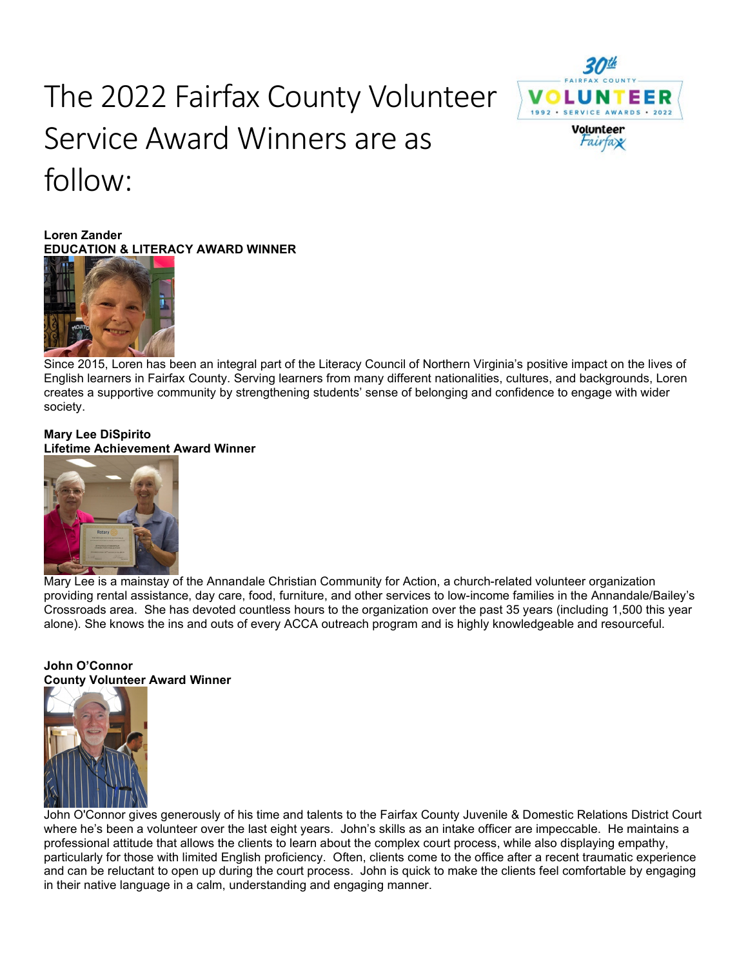# The 2022 Fairfax County Volunteer Service Award Winners are as follow:





Since 2015, Loren has been an integral part of the Literacy Council of Northern Virginia's positive impact on the lives of English learners in Fairfax County. Serving learners from many different nationalities, cultures, and backgrounds, Loren creates a supportive community by strengthening students' sense of belonging and confidence to engage with wider society. 

Volunteer *Fairfax* 

# **Mary Lee DiSpirito Lifetime Achievement Award Winner**



Mary Lee is a mainstay of the Annandale Christian Community for Action, a church-related volunteer organization providing rental assistance, day care, food, furniture, and other services to low-income families in the Annandale/Bailey's Crossroads area. She has devoted countless hours to the organization over the past 35 years (including 1,500 this year alone). She knows the ins and outs of every ACCA outreach program and is highly knowledgeable and resourceful.

# **John O'Connor County Volunteer Award Winner**



John O'Connor gives generously of his time and talents to the Fairfax County Juvenile & Domestic Relations District Court where he's been a volunteer over the last eight years. John's skills as an intake officer are impeccable. He maintains a professional attitude that allows the clients to learn about the complex court process, while also displaying empathy, particularly for those with limited English proficiency. Often, clients come to the office after a recent traumatic experience and can be reluctant to open up during the court process. John is quick to make the clients feel comfortable by engaging in their native language in a calm, understanding and engaging manner.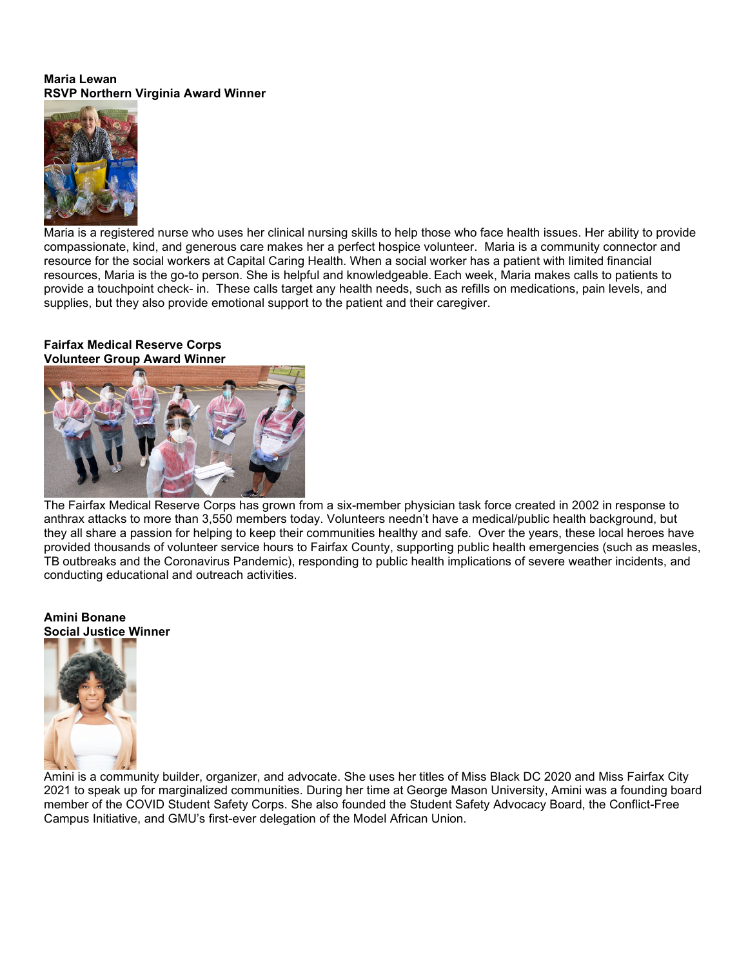#### **Maria Lewan RSVP Northern Virginia Award Winner**



Maria is a registered nurse who uses her clinical nursing skills to help those who face health issues. Her ability to provide compassionate, kind, and generous care makes her a perfect hospice volunteer. Maria is a community connector and resource for the social workers at Capital Caring Health. When a social worker has a patient with limited financial resources, Maria is the go-to person. She is helpful and knowledgeable. Each week, Maria makes calls to patients to provide a touchpoint check- in. These calls target any health needs, such as refills on medications, pain levels, and supplies, but they also provide emotional support to the patient and their caregiver.

#### **Fairfax Medical Reserve Corps Volunteer Group Award Winner**



The Fairfax Medical Reserve Corps has grown from a six-member physician task force created in 2002 in response to anthrax attacks to more than 3,550 members today. Volunteers needn't have a medical/public health background, but they all share a passion for helping to keep their communities healthy and safe. Over the years, these local heroes have provided thousands of volunteer service hours to Fairfax County, supporting public health emergencies (such as measles, TB outbreaks and the Coronavirus Pandemic), responding to public health implications of severe weather incidents, and conducting educational and outreach activities.

#### **Amini Bonane Social Justice Winner**



Amini is a community builder, organizer, and advocate. She uses her titles of Miss Black DC 2020 and Miss Fairfax City 2021 to speak up for marginalized communities. During her time at George Mason University, Amini was a founding board member of the COVID Student Safety Corps. She also founded the Student Safety Advocacy Board, the Conflict-Free Campus Initiative, and GMU's first-ever delegation of the Model African Union.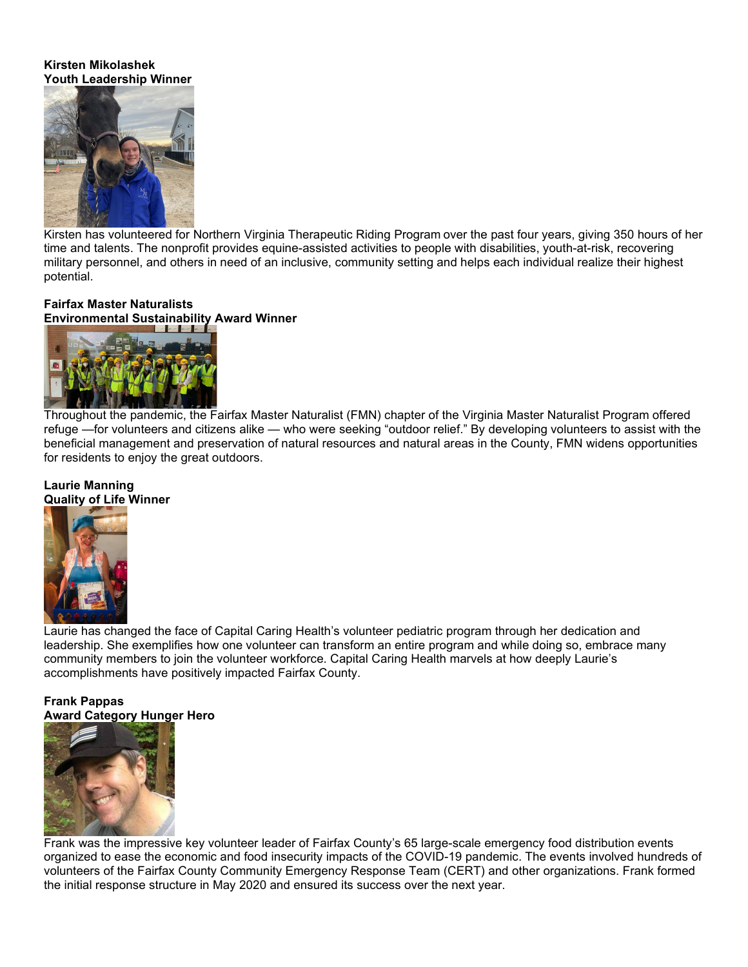#### **Kirsten Mikolashek Youth Leadership Winner**



Kirsten has volunteered for Northern Virginia Therapeutic Riding Program over the past four years, giving 350 hours of her time and talents. The nonprofit provides equine-assisted activities to people with disabilities, youth-at-risk, recovering military personnel, and others in need of an inclusive, community setting and helps each individual realize their highest potential.

# **Fairfax Master Naturalists**

**Environmental Sustainability Award Winner**



Throughout the pandemic, the Fairfax Master Naturalist (FMN) chapter of the Virginia Master Naturalist Program offered refuge —for volunteers and citizens alike — who were seeking "outdoor relief." By developing volunteers to assist with the beneficial management and preservation of natural resources and natural areas in the County, FMN widens opportunities for residents to enjoy the great outdoors.

# **Laurie Manning Quality of Life Winner**



Laurie has changed the face of Capital Caring Health's volunteer pediatric program through her dedication and leadership. She exemplifies how one volunteer can transform an entire program and while doing so, embrace many community members to join the volunteer workforce. Capital Caring Health marvels at how deeply Laurie's accomplishments have positively impacted Fairfax County. 

# **Frank Pappas Award Category Hunger Hero**



Frank was the impressive key volunteer leader of Fairfax County's 65 large-scale emergency food distribution events organized to ease the economic and food insecurity impacts of the COVID-19 pandemic. The events involved hundreds of volunteers of the Fairfax County Community Emergency Response Team (CERT) and other organizations. Frank formed the initial response structure in May 2020 and ensured its success over the next year.